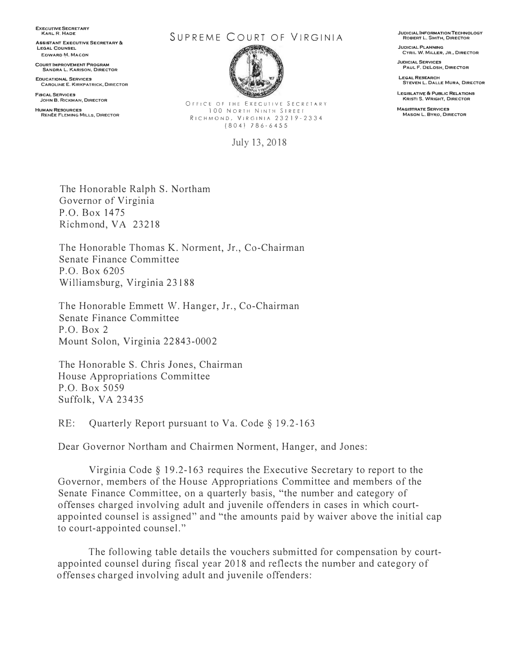**EXECUTIVE SECRETARY KARL R. HADE** 

**ASSISTANT ExECUTIVE SECRETARY 8c: LEGAL COUNSEL EDWARO fyt, MACON** 

**COURT IMPROVEMENT PROGRAM SANORA L. KARISON, DIRECTOR** 

**EDUCATIONAL SERVICES CAROLINE E. KIRKPATRICK, DIRECTOR** 

**FISCAL SERVICES JOHN B. RICKMAN, DIRECTOR** 

**HUMAN RESOURCES RENÉE FLEMING MILLS, DIRECTOR** 

## SUPREME COURT OF VIRGINIA



OFFICE OF THE EXECUTIVE SECRETARY 100 NORTH NINTH STREEr RICHMOND, VIRGINIA 232)9-2334 (804) 786-6455

July 13, 2018

**JUDICIAL INFORMATION TECHNOLOGY ROBERT L. SMITH, DIRECTOR** 

**JUDICIAL PLANNING CYRIL W, MtLLER, JR., DIRECTOR** 

**JUDIClAL SERVICES PAUL F. DELOSH, DIRECTOR** 

**LEGAL RESEARCH STEVEN L. DALLE MURA1 DIRECTOR** 

**LEQISLATIVE & PUBLIC RELATIONS KRISTI\$, WRIGHT, DIRECTOR** 

**MAG:ISTRA.TE SERVICES MASON L. BYRO, DIRECTOR** 

The Honorable Ralph S. Northam Governor of Virginia P.O. Box 1475 Richmond, VA 23218

The Honorable Thomas K. Norment, Jr., Co-Chairman Senate Finance Committee P.O. Box 6205 Williamsburg, Virginia 23188

The Honorable Emmett W. Hanger, Jr., Co-Chairman Senate Finance Committee P.O. Box 2 Mount Solon, Virginia 22843-0002

The Honorable S. Chris Jones, Chairman House Appropriations Committee P.O. Box 5 059 Suffolk, VA 23435

RE: Quarterly Report pursuant to Va. Code § 19.2-163

Dear Governor Northam and Chairmen Norment, Hanger, and Jones:

Virginia Code *§* 19.2-163 requires the Executive Secretary to report to the Governor, members of the House Appropriations Committee and members of the Senate Finance Committee, on a quarterly basis, "the number and category of offenses charged involving adult and juvenile offenders in cases in which courtappointed counsel is assigned" and "the amounts paid by waiver above the initial cap to court-appointed counsel."

The following table details the vouchers submitted for compensation by courtappointed counsel during fiscal year 2018 and reflects the number and category of offenses charged involving adult and juvenile offenders: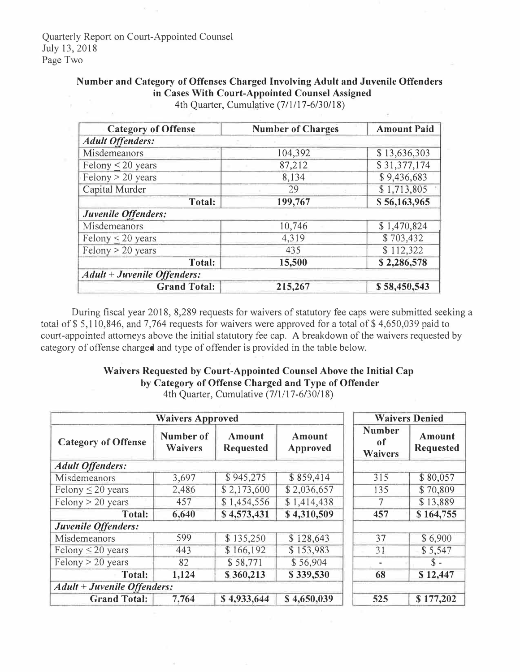## **Number and Category of Offenses Charged Involving Adult and Juvenile Offenders in Cases With Court-Appointed Counsel Assigned**

| <b>Category of Offense</b>         | <b>Number of Charges</b> | <b>Amount Paid</b> |  |  |  |
|------------------------------------|--------------------------|--------------------|--|--|--|
| <b>Adult Offenders:</b>            |                          |                    |  |  |  |
| Misdemeanors                       | 104,392                  | \$13,636,303       |  |  |  |
| Felony $\leq$ 20 years             | \$31,377,174<br>87,212   |                    |  |  |  |
| Felony $> 20$ years                | 8,134                    | \$9,436,683        |  |  |  |
| Capital Murder                     | 29                       | \$1,713,805        |  |  |  |
| <b>Total:</b>                      | 199,767                  | \$56,163,965       |  |  |  |
| Juvenile Offenders:                |                          |                    |  |  |  |
| Misdemeanors                       | 10,746                   | \$1,470,824        |  |  |  |
| Felony $\leq 20$ years             | 4,319                    | \$703,432          |  |  |  |
| Felony > 20 years                  | 435                      | \$112,322          |  |  |  |
| Total:                             | 15,500                   | \$2,286,578        |  |  |  |
| <b>Adult + Juvenile Offenders:</b> |                          |                    |  |  |  |
| <b>Grand Total:</b>                | 215,267                  | \$58,450,543       |  |  |  |

4th Quarter, Cumulative (7/1/17-6/30/18)

During fiscal year 2018, 8,289 requests for waivers of statutory fee caps were submitted seeking a total of \$5,110,846, and 7,764 requests for waivers were approved for a total of \$4,650,039 paid to court-appointed attorneys above the initial statutory fee cap. A breakdown of the waivers requested by category of offense charged and type of offender is provided in the table below.

## **Waivers Requested by Court-Appointed Counsel Above the Initial Cap by Category of Offense Charged and Type of Offender**

| <b>Waivers Approved</b>            |                             |                            |                    | <b>Waivers Denied</b>          |                            |
|------------------------------------|-----------------------------|----------------------------|--------------------|--------------------------------|----------------------------|
| <b>Category of Offense</b>         | Number of<br><b>Waivers</b> | Amount<br><b>Requested</b> | Amount<br>Approved | <b>Number</b><br>0f<br>Waivers | Amount<br><b>Requested</b> |
| <b>Adult Offenders:</b>            |                             |                            |                    |                                |                            |
| Misdemeanors                       | 3,697                       | \$945,275                  | \$859,414          | 315                            | \$80,057                   |
| Felony $\leq$ 20 years             | 2,486                       | \$2,173,600                | \$2,036,657        | 135                            | \$70,809                   |
| Felony > 20 years                  | 457                         | \$1,454,556                | \$1,414,438        | 7                              | \$13,889                   |
| Total:                             | 6,640                       | \$4,573,431                | \$4,310,509        | 457                            | \$164,755                  |
| Juvenile Offenders:                |                             |                            |                    |                                |                            |
| Misdemeanors                       | 599                         | \$135,250                  | \$128,643          | 37                             | \$6,900                    |
| Felony $\leq 20$ years             | 443                         | \$166,192                  | \$153,983          | 31                             | \$5,547                    |
| Felony $> 20$ years                | 82                          | \$58,771                   | \$56,904           |                                | $\mathbb{S}$ -             |
| Total:                             | 1,124                       | \$360,213                  | \$339,530          | 68                             | \$12,447                   |
| <b>Adult + Juvenile Offenders:</b> |                             |                            |                    |                                |                            |
| <b>Grand Total:</b>                | 7.764                       | \$4,933,644                | \$4,650,039        | 525                            | \$177,202                  |

4th Quarter, Cumulative (7/1/17-6/30/18)